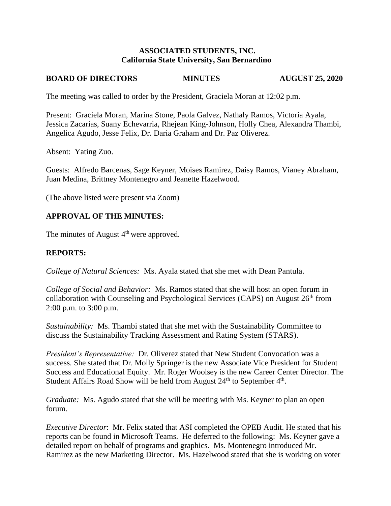### **ASSOCIATED STUDENTS, INC. California State University, San Bernardino**

# **BOARD OF DIRECTORS MINUTES AUGUST 25, 2020**

The meeting was called to order by the President, Graciela Moran at 12:02 p.m.

Present: Graciela Moran, Marina Stone, Paola Galvez, Nathaly Ramos, Victoria Ayala, Jessica Zacarias, Suany Echevarria, Rhejean King-Johnson, Holly Chea, Alexandra Thambi, Angelica Agudo, Jesse Felix, Dr. Daria Graham and Dr. Paz Oliverez.

Absent: Yating Zuo.

Guests: Alfredo Barcenas, Sage Keyner, Moises Ramirez, Daisy Ramos, Vianey Abraham, Juan Medina, Brittney Montenegro and Jeanette Hazelwood.

(The above listed were present via Zoom)

# **APPROVAL OF THE MINUTES:**

The minutes of August 4<sup>th</sup> were approved.

# **REPORTS:**

*College of Natural Sciences:* Ms. Ayala stated that she met with Dean Pantula.

*College of Social and Behavior:* Ms. Ramos stated that she will host an open forum in collaboration with Counseling and Psychological Services (CAPS) on August 26<sup>th</sup> from 2:00 p.m. to 3:00 p.m.

*Sustainability:* Ms. Thambi stated that she met with the Sustainability Committee to discuss the Sustainability Tracking Assessment and Rating System (STARS).

*President's Representative:* Dr. Oliverez stated that New Student Convocation was a success. She stated that Dr. Molly Springer is the new Associate Vice President for Student Success and Educational Equity. Mr. Roger Woolsey is the new Career Center Director. The Student Affairs Road Show will be held from August  $24<sup>th</sup>$  to September  $4<sup>th</sup>$ .

*Graduate:* Ms. Agudo stated that she will be meeting with Ms. Keyner to plan an open forum.

*Executive Director*: Mr. Felix stated that ASI completed the OPEB Audit. He stated that his reports can be found in Microsoft Teams. He deferred to the following: Ms. Keyner gave a detailed report on behalf of programs and graphics. Ms. Montenegro introduced Mr. Ramirez as the new Marketing Director. Ms. Hazelwood stated that she is working on voter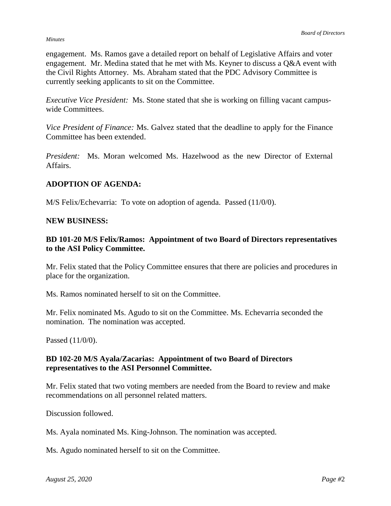#### *Minutes*

engagement. Ms. Ramos gave a detailed report on behalf of Legislative Affairs and voter engagement. Mr. Medina stated that he met with Ms. Keyner to discuss a Q&A event with the Civil Rights Attorney. Ms. Abraham stated that the PDC Advisory Committee is currently seeking applicants to sit on the Committee.

*Executive Vice President:* Ms. Stone stated that she is working on filling vacant campuswide Committees.

*Vice President of Finance:* Ms. Galvez stated that the deadline to apply for the Finance Committee has been extended.

*President:* Ms. Moran welcomed Ms. Hazelwood as the new Director of External Affairs.

### **ADOPTION OF AGENDA:**

M/S Felix/Echevarria: To vote on adoption of agenda. Passed (11/0/0).

### **NEW BUSINESS:**

## **BD 101-20 M/S Felix/Ramos: Appointment of two Board of Directors representatives to the ASI Policy Committee.**

Mr. Felix stated that the Policy Committee ensures that there are policies and procedures in place for the organization.

Ms. Ramos nominated herself to sit on the Committee.

Mr. Felix nominated Ms. Agudo to sit on the Committee. Ms. Echevarria seconded the nomination. The nomination was accepted.

Passed (11/0/0).

### **BD 102-20 M/S Ayala/Zacarias: Appointment of two Board of Directors representatives to the ASI Personnel Committee.**

Mr. Felix stated that two voting members are needed from the Board to review and make recommendations on all personnel related matters.

Discussion followed.

Ms. Ayala nominated Ms. King-Johnson. The nomination was accepted.

Ms. Agudo nominated herself to sit on the Committee.